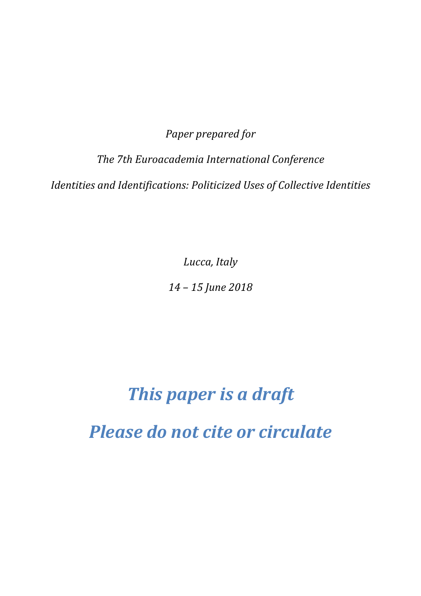*Paper prepared for* 

*The 7th Euroacademia International Conference Identities and Identifications: Politicized Uses of Collective Identities* 

*Lucca, Italy* 

*14 – 15 June 2018* 

# *This paper is a draft*

*Please do not cite or circulate*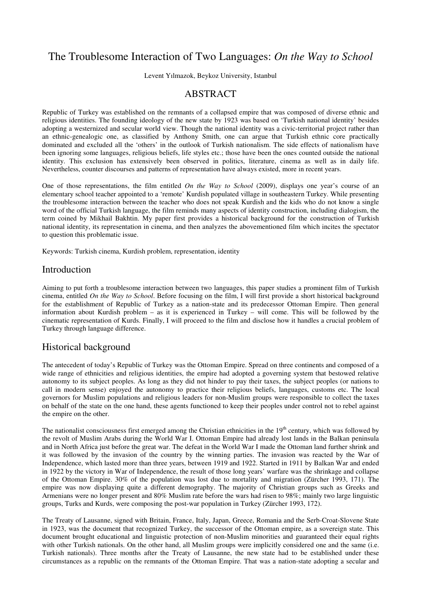## The Troublesome Interaction of Two Languages: *On the Way to School*

Levent Yılmazok, Beykoz University, Istanbul

#### **ABSTRACT**

Republic of Turkey was established on the remnants of a collapsed empire that was composed of diverse ethnic and religious identities. The founding ideology of the new state by 1923 was based on 'Turkish national identity' besides adopting a westernized and secular world view. Though the national identity was a civic-territorial project rather than an ethnic-genealogic one, as classified by Anthony Smith, one can argue that Turkish ethnic core practically dominated and excluded all the 'others' in the outlook of Turkish nationalism. The side effects of nationalism have been ignoring some languages, religious beliefs, life styles etc.; those have been the ones counted outside the national identity. This exclusion has extensively been observed in politics, literature, cinema as well as in daily life. Nevertheless, counter discourses and patterns of representation have always existed, more in recent years.

One of those representations, the film entitled *On the Way to School* (2009), displays one year's course of an elementary school teacher appointed to a 'remote' Kurdish populated village in southeastern Turkey. While presenting the troublesome interaction between the teacher who does not speak Kurdish and the kids who do not know a single word of the official Turkish language, the film reminds many aspects of identity construction, including dialogism, the term coined by Mikhail Bakhtin. My paper first provides a historical background for the construction of Turkish national identity, its representation in cinema, and then analyzes the abovementioned film which incites the spectator to question this problematic issue.

Keywords: Turkish cinema, Kurdish problem, representation, identity

#### Introduction

Aiming to put forth a troublesome interaction between two languages, this paper studies a prominent film of Turkish cinema, entitled *On the Way to School*. Before focusing on the film, I will first provide a short historical background for the establishment of Republic of Turkey as a nation-state and its predecessor Ottoman Empire. Then general information about Kurdish problem – as it is experienced in Turkey – will come. This will be followed by the cinematic representation of Kurds. Finally, I will proceed to the film and disclose how it handles a crucial problem of Turkey through language difference.

### Historical background

The antecedent of today's Republic of Turkey was the Ottoman Empire. Spread on three continents and composed of a wide range of ethnicities and religious identities, the empire had adopted a governing system that bestowed relative autonomy to its subject peoples. As long as they did not hinder to pay their taxes, the subject peoples (or nations to call in modern sense) enjoyed the autonomy to practice their religious beliefs, languages, customs etc. The local governors for Muslim populations and religious leaders for non-Muslim groups were responsible to collect the taxes on behalf of the state on the one hand, these agents functioned to keep their peoples under control not to rebel against the empire on the other.

The nationalist consciousness first emerged among the Christian ethnicities in the  $19<sup>th</sup>$  century, which was followed by the revolt of Muslim Arabs during the World War I. Ottoman Empire had already lost lands in the Balkan peninsula and in North Africa just before the great war. The defeat in the World War I made the Ottoman land further shrink and it was followed by the invasion of the country by the winning parties. The invasion was reacted by the War of Independence, which lasted more than three years, between 1919 and 1922. Started in 1911 by Balkan War and ended in 1922 by the victory in War of Independence, the result of those long years' warfare was the shrinkage and collapse of the Ottoman Empire. 30% of the population was lost due to mortality and migration (Zürcher 1993, 171). The empire was now displaying quite a different demography. The majority of Christian groups such as Greeks and Armenians were no longer present and 80% Muslim rate before the wars had risen to 98%; mainly two large linguistic groups, Turks and Kurds, were composing the post-war population in Turkey (Zürcher 1993, 172).

The Treaty of Lausanne, signed with Britain, France, Italy, Japan, Greece, Romania and the Serb-Croat-Slovene State in 1923, was the document that recognized Turkey, the successor of the Ottoman empire, as a sovereign state. This document brought educational and linguistic protection of non-Muslim minorities and guaranteed their equal rights with other Turkish nationals. On the other hand, all Muslim groups were implicitly considered one and the same (i.e. Turkish nationals). Three months after the Treaty of Lausanne, the new state had to be established under these circumstances as a republic on the remnants of the Ottoman Empire. That was a nation-state adopting a secular and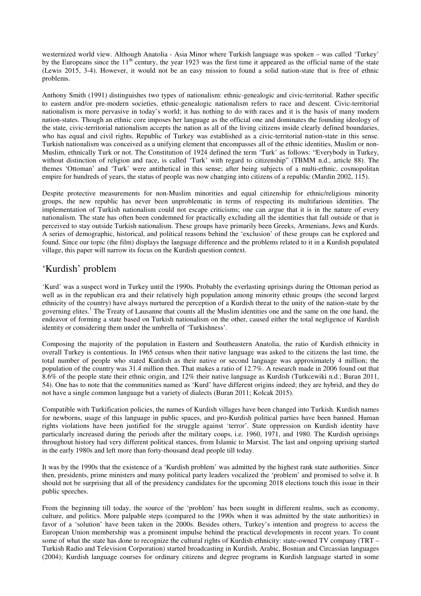westernized world view. Although Anatolia - Asia Minor where Turkish language was spoken – was called 'Turkey' by the Europeans since the  $11<sup>th</sup>$  century, the year 1923 was the first time it appeared as the official name of the state (Lewis 2015, 3-4). However, it would not be an easy mission to found a solid nation-state that is free of ethnic problems.

Anthony Smith (1991) distinguishes two types of nationalism: ethnic-genealogic and civic-territorial. Rather specific to eastern and/or pre-modern societies, ethnic-genealogic nationalism refers to race and descent. Civic-territorial nationalism is more pervasive in today's world; it has nothing to do with races and it is the basis of many modern nation-states. Though an ethnic core imposes her language as the official one and dominates the founding ideology of the state, civic-territorial nationalism accepts the nation as all of the living citizens inside clearly defined boundaries, who has equal and civil rights. Republic of Turkey was established as a civic-territorial nation-state in this sense. Turkish nationalism was conceived as a unifying element that encompasses all of the ethnic identities, Muslim or non-Muslim, ethnically Turk or not. The Constitution of 1924 defined the term 'Turk' as follows: "Everybody in Turkey, without distinction of religion and race, is called 'Turk' with regard to citizenship" (TBMM n.d., article 88). The themes 'Ottoman' and 'Turk' were antithetical in this sense; after being subjects of a multi-ethnic, cosmopolitan empire for hundreds of years, the status of people was now changing into citizens of a republic (Mardin 2002, 115).

Despite protective measurements for non-Muslim minorities and equal citizenship for ethnic/religious minority groups, the new republic has never been unproblematic in terms of respecting its multifarious identities. The implementation of Turkish nationalism could not escape criticisms; one can argue that it is in the nature of every nationalism. The state has often been condemned for practically excluding all the identities that fall outside or that is perceived to stay outside Turkish nationalism. These groups have primarily been Greeks, Armenians, Jews and Kurds. A series of demographic, historical, and political reasons behind the 'exclusion' of these groups can be explored and found. Since our topic (the film) displays the language difference and the problems related to it in a Kurdish populated village, this paper will narrow its focus on the Kurdish question context.

#### 'Kurdish' problem

'Kurd' was a suspect word in Turkey until the 1990s. Probably the everlasting uprisings during the Ottoman period as well as in the republican era and their relatively high population among minority ethnic groups (the second largest ethnicity of the country) have always nurtured the perception of a Kurdish threat to the unity of the nation-state by the governing elites.<sup>1</sup> The Treaty of Lausanne that counts all the Muslim identities one and the same on the one hand, the endeavor of forming a state based on Turkish nationalism on the other, caused either the total negligence of Kurdish identity or considering them under the umbrella of 'Turkishness'.

Composing the majority of the population in Eastern and Southeastern Anatolia, the ratio of Kurdish ethnicity in overall Turkey is contentious. In 1965 census when their native language was asked to the citizens the last time, the total number of people who stated Kurdish as their native or second language was approximately 4 million; the population of the country was 31.4 million then. That makes a ratio of 12.7%. A research made in 2006 found out that 8.6% of the people state their ethnic origin, and 12% their native language as Kurdish (Turkcewiki n.d.; Buran 2011, 54). One has to note that the communities named as 'Kurd' have different origins indeed; they are hybrid, and they do not have a single common language but a variety of dialects (Buran 2011; Kolcak 2015).

Compatible with Turkification policies, the names of Kurdish villages have been changed into Turkish. Kurdish names for newborns, usage of this language in public spaces, and pro-Kurdish political parties have been banned. Human rights violations have been justified for the struggle against 'terror'. State oppression on Kurdish identity have particularly increased during the periods after the military coups, i.e. 1960, 1971, and 1980. The Kurdish uprisings throughout history had very different political stances, from Islamic to Marxist. The last and ongoing uprising started in the early 1980s and left more than forty-thousand dead people till today.

It was by the 1990s that the existence of a 'Kurdish problem' was admitted by the highest rank state authorities. Since then, presidents, prime ministers and many political party leaders vocalized the 'problem' and promised to solve it. It should not be surprising that all of the presidency candidates for the upcoming 2018 elections touch this issue in their public speeches.

From the beginning till today, the source of the 'problem' has been sought in different realms, such as economy, culture, and politics. More palpable steps (compared to the 1990s when it was admitted by the state authorities) in favor of a 'solution' have been taken in the 2000s. Besides others, Turkey's intention and progress to access the European Union membership was a prominent impulse behind the practical developments in recent years. To count some of what the state has done to recognize the cultural rights of Kurdish ethnicity: state-owned TV company (TRT – Turkish Radio and Television Corporation) started broadcasting in Kurdish, Arabic, Bosnian and Circassian languages (2004); Kurdish language courses for ordinary citizens and degree programs in Kurdish language started in some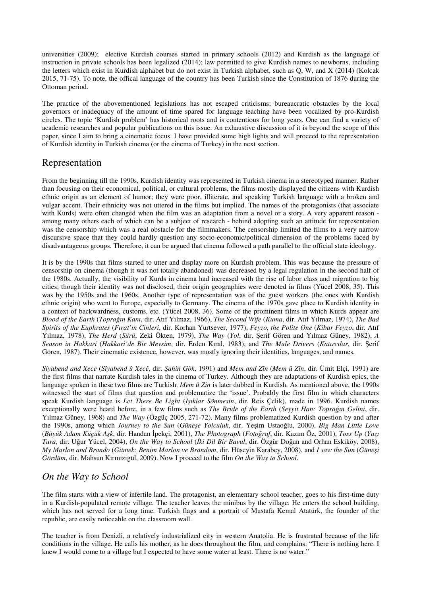universities (2009); elective Kurdish courses started in primary schools (2012) and Kurdish as the language of instruction in private schools has been legalized (2014); law permitted to give Kurdish names to newborns, including the letters which exist in Kurdish alphabet but do not exist in Turkish alphabet, such as Q, W, and X (2014) (Kolcak 2015, 71-75). To note, the offical language of the country has been Turkish since the Constitution of 1876 during the Ottoman period.

The practice of the abovementioned legislations has not escaped criticisms; bureaucratic obstacles by the local governors or inadequacy of the amount of time spared for language teaching have been vocalized by pro-Kurdish circles. The topic 'Kurdish problem' has historical roots and is contentious for long years. One can find a variety of academic researches and popular publications on this issue. An exhaustive discussion of it is beyond the scope of this paper, since I aim to bring a cinematic focus. I have provided some high lights and will proceed to the representation of Kurdish identity in Turkish cinema (or the cinema of Turkey) in the next section.

#### Representation

From the beginning till the 1990s, Kurdish identity was represented in Turkish cinema in a stereotyped manner. Rather than focusing on their economical, political, or cultural problems, the films mostly displayed the citizens with Kurdish ethnic origin as an element of humor; they were poor, illiterate, and speaking Turkish language with a broken and vulgar accent. Their ethnicity was not uttered in the films but implied. The names of the protagonists (that associate with Kurds) were often changed when the film was an adaptation from a novel or a story. A very apparent reason among many others each of which can be a subject of research - behind adopting such an attitude for representation was the censorship which was a real obstacle for the filmmakers. The censorship limited the films to a very narrow discursive space that they could hardly question any socio-economic/political dimension of the problems faced by disadvantageous groups. Therefore, it can be argued that cinema followed a path parallel to the official state ideology.

It is by the 1990s that films started to utter and display more on Kurdish problem. This was because the pressure of censorship on cinema (though it was not totally abandoned) was decreased by a legal regulation in the second half of the 1980s. Actually, the visibility of Kurds in cinema had increased with the rise of labor class and migration to big cities; though their identity was not disclosed, their origin geographies were denoted in films (Yücel 2008, 35). This was by the 1950s and the 1960s. Another type of representation was of the guest workers (the ones with Kurdish ethnic origin) who went to Europe, especially to Germany. The cinema of the 1970s gave place to Kurdish identity in a context of backwardness, customs, etc. (Yücel 2008, 36). Some of the prominent films in which Kurds appear are *Blood of the Earth* (*Toprağın Kanı*, dir. Atıf Yılmaz, 1966), *The Second Wife* (*Kuma*, dir. Atıf Yılmaz, 1974), *The Bad Spirits of the Euphrates* (*Fırat'ın Cinleri*, dir. Korhan Yurtsever, 1977), *Feyzo, the Polite One* (*Kibar Feyzo*, dir. Atıf Yılmaz, 1978), *The Herd* (*Sürü*, Zeki Ökten, 1979), *The Way* (*Yol*, dir. Şerif Gören and Yılmaz Güney, 1982), *A Season in Hakkari* (*Hakkari'de Bir Mevsim*, dir. Erden Kıral, 1983), and *The Mule Drivers* (*Katırcılar*, dir. Şerif Gören, 1987). Their cinematic existence, however, was mostly ignoring their identities, languages, and names.

*Siyabend and Xece* (*Sîyabend û Xecê*, dir. *Şahin Gök*, 1991) and *Mem and Zîn* (*Mem û Zîn*, dir. Ümit Elçi, 1991) are the first films that narrate Kurdish tales in the cinema of Turkey. Although they are adaptations of Kurdish epics, the language spoken in these two films are Turkish. *Mem û Zin* is later dubbed in Kurdish. As mentioned above, the 1990s witnessed the start of films that question and problematize the 'issue'. Probably the first film in which characters speak Kurdish language is *Let There Be Light* (*Işıklar Sönmesin*, dir. Reis Çelik), made in 1996. Kurdish names exceptionally were heard before, in a few films such as *The Bride of the Earth* (*Seyyit Han: Toprağın Gelini*, dir. Yılmaz Güney, 1968) and *The Way* (Özgüç 2005, 271-72). Many films problematized Kurdish question by and after the 1990s, among which *Journey to the Sun* (*Güneşe Yolculuk*, dir. Yeşim Ustaoğlu, 2000), *Big Man Little Love* (*Büyük Adam Küçük Aşk*, dir. Handan İpekçi, 2001), *The Photograph* (*Fotoğraf*, dir. Kazım Öz, 2001), *Toss Up* (*Yazı Tura*, dir. Uğur Yücel, 2004), *On the Way to School* (*İki Dil Bir Bavul*, dir. Özgür Doğan and Orhan Eskiköy, 2008), *My Marlon and Brando* (*Gitmek: Benim Marlon ve Brandom*, dir. Hüseyin Karabey, 2008), and *I saw the Sun* (*Güneşi Gördüm*, dir. Mahsun Kırmızıgül, 2009). Now I proceed to the film *On the Way to School*.

#### *On the Way to School*

The film starts with a view of infertile land. The protagonist, an elementary school teacher, goes to his first-time duty in a Kurdish-populated remote village. The teacher leaves the minibus by the village. He enters the school building, which has not served for a long time. Turkish flags and a portrait of Mustafa Kemal Atatürk, the founder of the republic, are easily noticeable on the classroom wall.

The teacher is from Denizli, a relatively industrialized city in western Anatolia. He is frustrated because of the life conditions in the village. He calls his mother, as he does throughout the film, and complains: "There is nothing here. I knew I would come to a village but I expected to have some water at least. There is no water."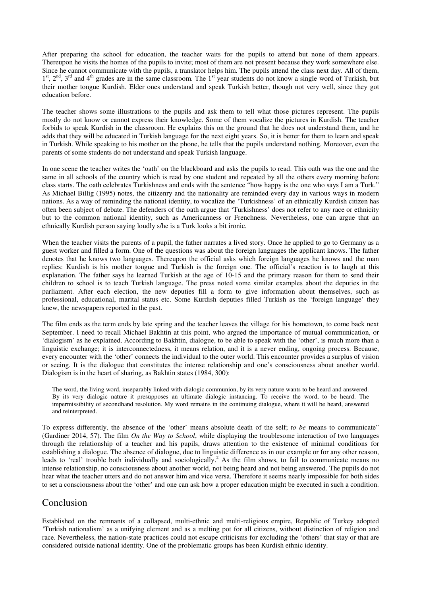After preparing the school for education, the teacher waits for the pupils to attend but none of them appears. Thereupon he visits the homes of the pupils to invite; most of them are not present because they work somewhere else. Since he cannot communicate with the pupils, a translator helps him. The pupils attend the class next day. All of them,  $1<sup>st</sup>$ ,  $2<sup>nd</sup>$ ,  $3<sup>rd</sup>$  and  $4<sup>th</sup>$  grades are in the same classroom. The  $1<sup>st</sup>$  year students do not know a single word of Turkish, but their mother tongue Kurdish. Elder ones understand and speak Turkish better, though not very well, since they got education before.

The teacher shows some illustrations to the pupils and ask them to tell what those pictures represent. The pupils mostly do not know or cannot express their knowledge. Some of them vocalize the pictures in Kurdish. The teacher forbids to speak Kurdish in the classroom. He explains this on the ground that he does not understand them, and he adds that they will be educated in Turkish language for the next eight years. So, it is better for them to learn and speak in Turkish. While speaking to his mother on the phone, he tells that the pupils understand nothing. Moreover, even the parents of some students do not understand and speak Turkish language.

In one scene the teacher writes the 'oath' on the blackboard and asks the pupils to read. This oath was the one and the same in all schools of the country which is read by one student and repeated by all the others every morning before class starts. The oath celebrates Turkishness and ends with the sentence "how happy is the one who says I am a Turk." As Michael Billig (1995) notes, the citizenry and the nationality are reminded every day in various ways in modern nations. As a way of reminding the national identity, to vocalize the 'Turkishness' of an ethnically Kurdish citizen has often been subject of debate. The defenders of the oath argue that 'Turkishness' does not refer to any race or ethnicity but to the common national identity, such as Americanness or Frenchness. Nevertheless, one can argue that an ethnically Kurdish person saying loudly s/he is a Turk looks a bit ironic.

When the teacher visits the parents of a pupil, the father narrates a lived story. Once he applied to go to Germany as a guest worker and filled a form. One of the questions was about the foreign languages the applicant knows. The father denotes that he knows two languages. Thereupon the official asks which foreign languages he knows and the man replies: Kurdish is his mother tongue and Turkish is the foreign one. The official's reaction is to laugh at this explanation. The father says he learned Turkish at the age of 10-15 and the primary reason for them to send their children to school is to teach Turkish language. The press noted some similar examples about the deputies in the parliament. After each election, the new deputies fill a form to give information about themselves, such as professional, educational, marital status etc. Some Kurdish deputies filled Turkish as the 'foreign language' they knew, the newspapers reported in the past.

The film ends as the term ends by late spring and the teacher leaves the village for his hometown, to come back next September. I need to recall Michael Bakhtin at this point, who argued the importance of mutual communication, or 'dialogism' as he explained. According to Bakhtin, dialogue, to be able to speak with the 'other', is much more than a linguistic exchange; it is interconnectedness, it means relation, and it is a never ending, ongoing process. Because, every encounter with the 'other' connects the individual to the outer world. This encounter provides a surplus of vision or seeing. It is the dialogue that constitutes the intense relationship and one's consciousness about another world. Dialogism is in the heart of sharing, as Bakhtin states (1984, 300):

The word, the living word, inseparably linked with dialogic communion, by its very nature wants to be heard and answered. By its very dialogic nature it presupposes an ultimate dialogic instancing. To receive the word, to be heard. The impermissibility of secondhand resolution. My word remains in the continuing dialogue, where it will be heard, answered and reinterpreted.

To express differently, the absence of the 'other' means absolute death of the self; *to be* means to communicate" (Gardiner 2014, 57). The film *On the Way to School*, while displaying the troublesome interaction of two languages through the relationship of a teacher and his pupils, draws attention to the existence of minimal conditions for establishing a dialogue. The absence of dialogue, due to linguistic difference as in our example or for any other reason, leads to 'real' trouble both individually and sociologically.<sup>2</sup> As the film shows, to fail to communicate means no intense relationship, no consciousness about another world, not being heard and not being answered. The pupils do not hear what the teacher utters and do not answer him and vice versa. Therefore it seems nearly impossible for both sides to set a consciousness about the 'other' and one can ask how a proper education might be executed in such a condition.

#### Conclusion

Established on the remnants of a collapsed, multi-ethnic and multi-religious empire, Republic of Turkey adopted 'Turkish nationalism' as a unifying element and as a melting pot for all citizens, without distinction of religion and race. Nevertheless, the nation-state practices could not escape criticisms for excluding the 'others' that stay or that are considered outside national identity. One of the problematic groups has been Kurdish ethnic identity.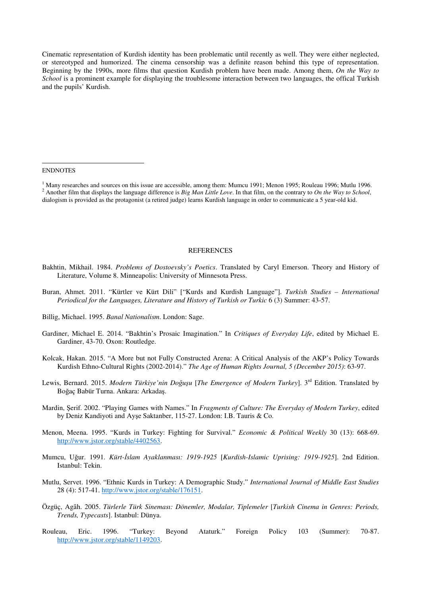Cinematic representation of Kurdish identity has been problematic until recently as well. They were either neglected, or stereotyped and humorized. The cinema censorship was a definite reason behind this type of representation. Beginning by the 1990s, more films that question Kurdish problem have been made. Among them, *On the Way to School* is a prominent example for displaying the troublesome interaction between two languages, the offical Turkish and the pupils' Kurdish.

ENDNOTES

 $\overline{a}$ 

#### **REFERENCES**

- Bakhtin, Mikhail. 1984. *Problems of Dostoevsky's Poetics*. Translated by Caryl Emerson. Theory and History of Literature, Volume 8. Minneapolis: University of Minnesota Press.
- Buran, Ahmet. 2011. "Kürtler ve Kürt Dili" ["Kurds and Kurdish Language"]. *Turkish Studies International Periodical for the Languages, Literature and History of Turkish or Turkic* 6 (3) Summer: 43-57.
- Billig, Michael. 1995. *Banal Nationalism*. London: Sage.
- Gardiner, Michael E. 2014. "Bakhtin's Prosaic Imagination." In *Critiques of Everyday Life*, edited by Michael E. Gardiner, 43-70. Oxon: Routledge.
- Kolcak, Hakan. 2015. "A More but not Fully Constructed Arena: A Critical Analysis of the AKP's Policy Towards Kurdish Ethno-Cultural Rights (2002-2014)." *The Age of Human Rights Journal, 5 (December 2015)*: 63-97.
- Lewis, Bernard. 2015. *Modern Türkiye'nin Doğuşu* [*The Emergence of Modern Turkey*]. 3rd Edition. Translated by Boğaç Babür Turna. Ankara: Arkadaş.
- Mardin, Şerif. 2002. "Playing Games with Names." In *Fragments of Culture: The Everyday of Modern Turkey*, edited by Deniz Kandiyoti and Ayşe Saktanber, 115-27. London: I.B. Tauris & Co.
- Menon, Meena. 1995. "Kurds in Turkey: Fighting for Survival." *Economic & Political Weekly* 30 (13): 668-69. http://www.jstor.org/stable/4402563.
- Mumcu, Uğur. 1991. *Kürt-İslam Ayaklanması: 1919-1925* [*Kurdish-Islamic Uprising: 1919-1925*]. 2nd Edition. Istanbul: Tekin.
- Mutlu, Servet. 1996. "Ethnic Kurds in Turkey: A Demographic Study." *International Journal of Middle East Studies*  28 (4): 517-41. http://www.jstor.org/stable/176151.
- Özgüç, Agâh. 2005. *Türlerle Türk Sineması: Dönemler, Modalar, Tiplemeler* [*Turkish Cinema in Genres: Periods, Trends, Typecasts*]. Istanbul: Dünya.
- Rouleau, Eric. 1996. "Turkey: Beyond Ataturk." Foreign Policy 103 (Summer): 70-87. http://www.jstor.org/stable/1149203.

<sup>&</sup>lt;sup>1</sup> Many researches and sources on this issue are accessible, among them: Mumcu 1991; Menon 1995; Rouleau 1996; Mutlu 1996. 2 Another film that displays the language difference is *Big Man Little Love*. In that film, on the contrary to *On the Way to School*, dialogism is provided as the protagonist (a retired judge) learns Kurdish language in order to communicate a 5 year-old kid.